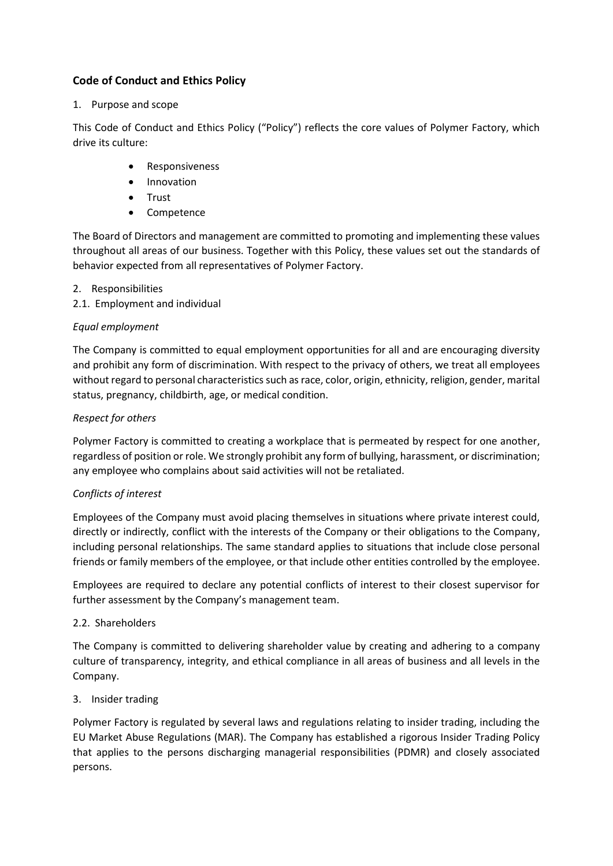# **Code of Conduct and Ethics Policy**

### 1. Purpose and scope

This Code of Conduct and Ethics Policy ("Policy") reflects the core values of Polymer Factory, which drive its culture:

- Responsiveness
- Innovation
- Trust
- Competence

The Board of Directors and management are committed to promoting and implementing these values throughout all areas of our business. Together with this Policy, these values set out the standards of behavior expected from all representatives of Polymer Factory.

- 2. Responsibilities
- 2.1. Employment and individual

### *Equal employment*

The Company is committed to equal employment opportunities for all and are encouraging diversity and prohibit any form of discrimination. With respect to the privacy of others, we treat all employees without regard to personal characteristics such as race, color, origin, ethnicity, religion, gender, marital status, pregnancy, childbirth, age, or medical condition.

## *Respect for others*

Polymer Factory is committed to creating a workplace that is permeated by respect for one another, regardless of position or role. We strongly prohibit any form of bullying, harassment, or discrimination; any employee who complains about said activities will not be retaliated.

## *Conflicts of interest*

Employees of the Company must avoid placing themselves in situations where private interest could, directly or indirectly, conflict with the interests of the Company or their obligations to the Company, including personal relationships. The same standard applies to situations that include close personal friends or family members of the employee, or that include other entities controlled by the employee.

Employees are required to declare any potential conflicts of interest to their closest supervisor for further assessment by the Company's management team.

## 2.2. Shareholders

The Company is committed to delivering shareholder value by creating and adhering to a company culture of transparency, integrity, and ethical compliance in all areas of business and all levels in the Company.

#### 3. Insider trading

Polymer Factory is regulated by several laws and regulations relating to insider trading, including the EU Market Abuse Regulations (MAR). The Company has established a rigorous Insider Trading Policy that applies to the persons discharging managerial responsibilities (PDMR) and closely associated persons.